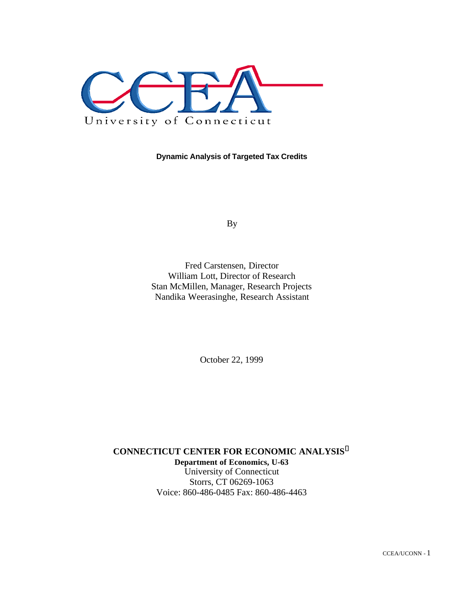

**Dynamic Analysis of Targeted Tax Credits**

By

Fred Carstensen, Director William Lott, Director of Research Stan McMillen, Manager, Research Projects Nandika Weerasinghe, Research Assistant

October 22, 1999

**CONNECTICUT CENTER FOR ECONOMIC ANALYSIS<sup>ã</sup> Department of Economics, U-63** University of Connecticut Storrs, CT 06269-1063 Voice: 860-486-0485 Fax: 860-486-4463

CCEA/UCONN - 1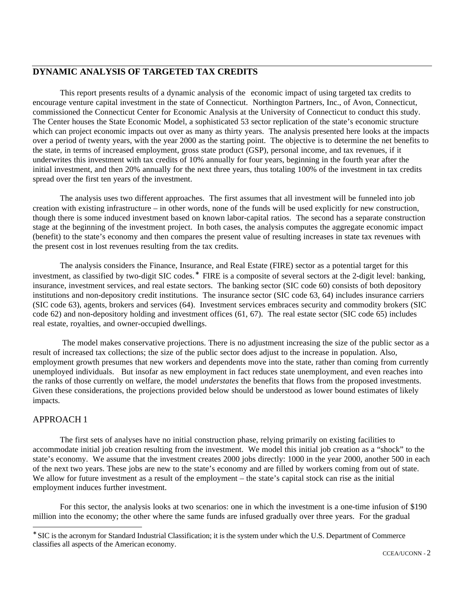# **DYNAMIC ANALYSIS OF TARGETED TAX CREDITS**

This report presents results of a dynamic analysis of the economic impact of using targeted tax credits to encourage venture capital investment in the state of Connecticut. Northington Partners, Inc., of Avon, Connecticut, commissioned the Connecticut Center for Economic Analysis at the University of Connecticut to conduct this study. The Center houses the State Economic Model, a sophisticated 53 sector replication of the state's economic structure which can project economic impacts out over as many as thirty years. The analysis presented here looks at the impacts over a period of twenty years, with the year 2000 as the starting point. The objective is to determine the net benefits to the state, in terms of increased employment, gross state product (GSP), personal income, and tax revenues, if it underwrites this investment with tax credits of 10% annually for four years, beginning in the fourth year after the initial investment, and then 20% annually for the next three years, thus totaling 100% of the investment in tax credits spread over the first ten years of the investment.

The analysis uses two different approaches. The first assumes that all investment will be funneled into job creation with existing infrastructure – in other words, none of the funds will be used explicitly for new construction, though there is some induced investment based on known labor-capital ratios. The second has a separate construction stage at the beginning of the investment project. In both cases, the analysis computes the aggregate economic impact (benefit) to the state's economy and then compares the present value of resulting increases in state tax revenues with the present cost in lost revenues resulting from the tax credits.

The analysis considers the Finance, Insurance, and Real Estate (FIRE) sector as a potential target for this investment, as classified by two-digit SIC codes.<sup>∗</sup> FIRE is a composite of several sectors at the 2-digit level: banking, insurance, investment services, and real estate sectors. The banking sector (SIC code 60) consists of both depository institutions and non-depository credit institutions. The insurance sector (SIC code 63, 64) includes insurance carriers (SIC code 63), agents, brokers and services (64). Investment services embraces security and commodity brokers (SIC code 62) and non-depository holding and investment offices (61, 67). The real estate sector (SIC code 65) includes real estate, royalties, and owner-occupied dwellings.

 The model makes conservative projections. There is no adjustment increasing the size of the public sector as a result of increased tax collections; the size of the public sector does adjust to the increase in population. Also, employment growth presumes that new workers and dependents move into the state, rather than coming from currently unemployed individuals. But insofar as new employment in fact reduces state unemployment, and even reaches into the ranks of those currently on welfare, the model *understates* the benefits that flows from the proposed investments. Given these considerations, the projections provided below should be understood as lower bound estimates of likely impacts.

# APPROACH 1

 $\overline{a}$ 

The first sets of analyses have no initial construction phase, relying primarily on existing facilities to accommodate initial job creation resulting from the investment. We model this initial job creation as a "shock" to the state's economy. We assume that the investment creates 2000 jobs directly: 1000 in the year 2000, another 500 in each of the next two years. These jobs are new to the state's economy and are filled by workers coming from out of state. We allow for future investment as a result of the employment – the state's capital stock can rise as the initial employment induces further investment.

For this sector, the analysis looks at two scenarios: one in which the investment is a one-time infusion of \$190 million into the economy; the other where the same funds are infused gradually over three years. For the gradual

<sup>∗</sup> SIC is the acronym for Standard Industrial Classification; it is the system under which the U.S. Department of Commerce classifies all aspects of the American economy.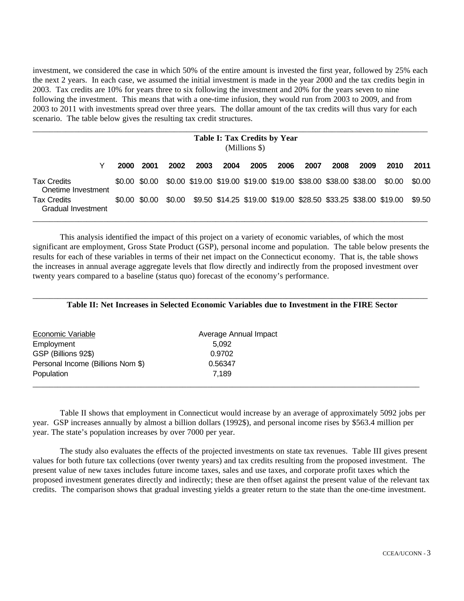investment, we considered the case in which 50% of the entire amount is invested the first year, followed by 25% each the next 2 years. In each case, we assumed the initial investment is made in the year 2000 and the tax credits begin in 2003. Tax credits are 10% for years three to six following the investment and 20% for the years seven to nine following the investment. This means that with a one-time infusion, they would run from 2003 to 2009, and from 2003 to 2011 with investments spread over three years. The dollar amount of the tax credits will thus vary for each scenario. The table below gives the resulting tax credit structures.

|                                                 |      |               |        |      | <b>Table I: Tax Credits by Year</b> | (Millions \$) |      |      |                                                                |      |                                                                |        |
|-------------------------------------------------|------|---------------|--------|------|-------------------------------------|---------------|------|------|----------------------------------------------------------------|------|----------------------------------------------------------------|--------|
| Y                                               | 2000 | 2001          | 2002   | 2003 | 2004                                | 2005          | 2006 | 2007 | 2008                                                           | 2009 | 2010                                                           | 2011   |
| <b>Tax Credits</b><br>Onetime Investment        |      | \$0.00 \$0.00 |        |      |                                     |               |      |      | \$0.00 \$19.00 \$19.00 \$19.00 \$19.00 \$38.00 \$38.00 \$38.00 |      | \$0.00                                                         | \$0.00 |
| <b>Tax Credits</b><br><b>Gradual Investment</b> |      | \$0.00 \$0.00 | \$0.00 |      |                                     |               |      |      |                                                                |      | \$9.50 \$14.25 \$19.00 \$19.00 \$28.50 \$33.25 \$38.00 \$19.00 | \$9.50 |

This analysis identified the impact of this project on a variety of economic variables, of which the most significant are employment, Gross State Product (GSP), personal income and population. The table below presents the results for each of these variables in terms of their net impact on the Connecticut economy. That is, the table shows the increases in annual average aggregate levels that flow directly and indirectly from the proposed investment over twenty years compared to a baseline (status quo) forecast of the economy's performance.

| Table II: Net Increases in Selected Economic Variables due to Investment in the FIRE Sector |
|---------------------------------------------------------------------------------------------|

| Economic Variable                 | Average Annual Impact |  |
|-----------------------------------|-----------------------|--|
| Employment                        | 5.092                 |  |
| GSP (Billions 92\$)               | 0.9702                |  |
| Personal Income (Billions Nom \$) | 0.56347               |  |
| Population                        | 7.189                 |  |
|                                   |                       |  |

Table II shows that employment in Connecticut would increase by an average of approximately 5092 jobs per year. GSP increases annually by almost a billion dollars (1992\$), and personal income rises by \$563.4 million per year. The state's population increases by over 7000 per year.

The study also evaluates the effects of the projected investments on state tax revenues. Table III gives present values for both future tax collections (over twenty years) and tax credits resulting from the proposed investment. The present value of new taxes includes future income taxes, sales and use taxes, and corporate profit taxes which the proposed investment generates directly and indirectly; these are then offset against the present value of the relevant tax credits. The comparison shows that gradual investing yields a greater return to the state than the one-time investment.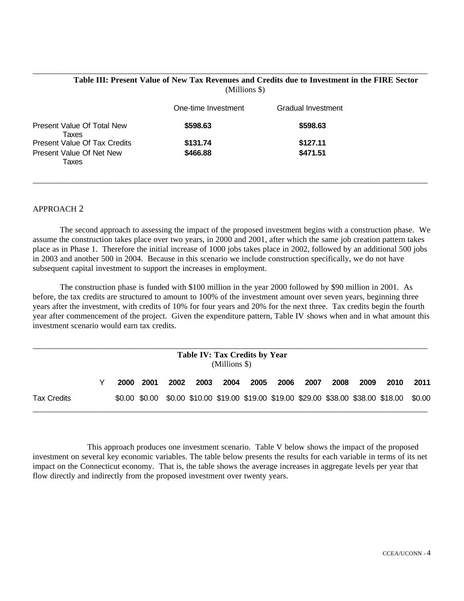#### **Table III: Present Value of New Tax Revenues and Credits due to Investment in the FIRE Sector** (Millions \$)

\_\_\_\_\_\_\_\_\_\_\_\_\_\_\_\_\_\_\_\_\_\_\_\_\_\_\_\_\_\_\_\_\_\_\_\_\_\_\_\_\_\_\_\_\_\_\_\_\_\_\_\_\_\_\_\_\_\_\_\_\_\_\_\_\_\_\_\_\_\_\_\_\_\_\_\_\_\_\_\_\_\_\_\_\_\_\_\_\_\_\_\_\_\_\_

|                                     | One-time Investment | Gradual Investment |
|-------------------------------------|---------------------|--------------------|
| Present Value Of Total New<br>Taxes | \$598.63            | \$598.63           |
| <b>Present Value Of Tax Credits</b> | \$131.74            | \$127.11           |
| Present Value Of Net New<br>Taxes   | \$466.88            | \$471.51           |

## APPROACH 2

The second approach to assessing the impact of the proposed investment begins with a construction phase. We assume the construction takes place over two years, in 2000 and 2001, after which the same job creation pattern takes place as in Phase 1. Therefore the initial increase of 1000 jobs takes place in 2002, followed by an additional 500 jobs in 2003 and another 500 in 2004. Because in this scenario we include construction specifically, we do not have subsequent capital investment to support the increases in employment.

\_\_\_\_\_\_\_\_\_\_\_\_\_\_\_\_\_\_\_\_\_\_\_\_\_\_\_\_\_\_\_\_\_\_\_\_\_\_\_\_\_\_\_\_\_\_\_\_\_\_\_\_\_\_\_\_\_\_\_\_\_\_\_\_\_\_\_\_\_\_\_\_\_\_\_\_\_\_\_\_\_\_\_\_\_\_\_\_\_\_\_\_\_\_\_

The construction phase is funded with \$100 million in the year 2000 followed by \$90 million in 2001. As before, the tax credits are structured to amount to 100% of the investment amount over seven years, beginning three years after the investment, with credits of 10% for four years and 20% for the next three. Tax credits begin the fourth year after commencement of the project. Given the expenditure pattern, Table IV shows when and in what amount this investment scenario would earn tax credits.

|                    |             |      |      |      | <b>Table IV: Tax Credits by Year</b><br>$(Millions$ \$) |      |      |      |      |      |                                                                                             |      |
|--------------------|-------------|------|------|------|---------------------------------------------------------|------|------|------|------|------|---------------------------------------------------------------------------------------------|------|
|                    | <b>2000</b> | 2001 | 2002 | 2003 | 2004                                                    | 2005 | 2006 | 2007 | 2008 | 2009 | 2010                                                                                        | 2011 |
| <b>Tax Credits</b> |             |      |      |      |                                                         |      |      |      |      |      | \$0.00 \$0.00 \$0.00 \$10.00 \$19.00 \$19.00 \$19.00 \$29.00 \$38.00 \$38.00 \$18.00 \$0.00 |      |

This approach produces one investment scenario. Table V below shows the impact of the proposed investment on several key economic variables. The table below presents the results for each variable in terms of its net impact on the Connecticut economy. That is, the table shows the average increases in aggregate levels per year that flow directly and indirectly from the proposed investment over twenty years.